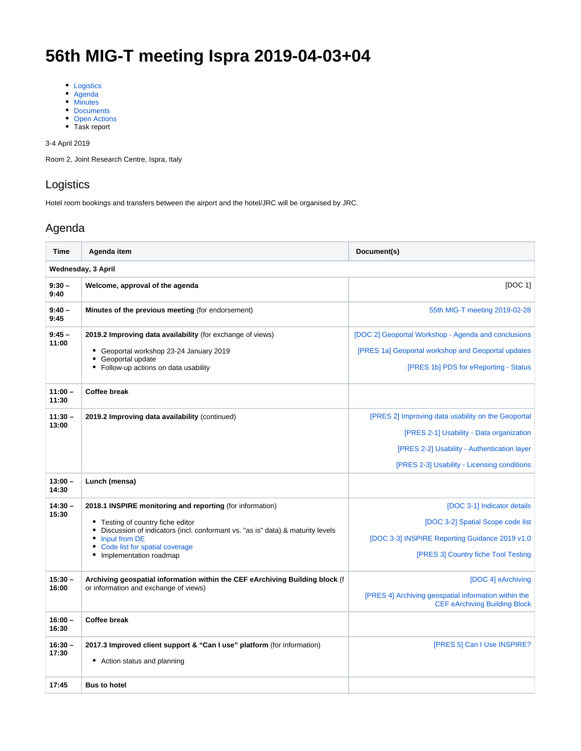# <span id="page-0-2"></span>**56th MIG-T meeting Ispra 2019-04-03+04**

- [Logistics](#page-0-0)
- [Agenda](#page-0-1)
- [Minutes](#page-1-0)
- [Documents](#page-6-0)
- [Open Actions](#page-7-0) Task report

3-4 April 2019

Room 2, Joint Research Centre, Ispra, Italy

### <span id="page-0-0"></span>Logistics

Hotel room bookings and transfers between the airport and the hotel/JRC will be organised by JRC.

### <span id="page-0-1"></span>Agenda

| <b>Time</b>        | Agenda item                                                                                                                                                                                                                  | Document(s)                                                                                  |
|--------------------|------------------------------------------------------------------------------------------------------------------------------------------------------------------------------------------------------------------------------|----------------------------------------------------------------------------------------------|
| Wednesday, 3 April |                                                                                                                                                                                                                              |                                                                                              |
| $9:30 -$<br>9:40   | Welcome, approval of the agenda                                                                                                                                                                                              | [DOC 1]                                                                                      |
| $9:40 -$<br>9:45   | Minutes of the previous meeting (for endorsement)                                                                                                                                                                            | 55th MIG-T meeting 2019-02-28                                                                |
| $9:45 -$           | 2019.2 Improving data availability (for exchange of views)                                                                                                                                                                   | [DOC 2] Geoportal Workshop - Agenda and conclusions                                          |
| 11:00              | • Geoportal workshop 23-24 January 2019<br>Geoportal update<br>$\bullet$                                                                                                                                                     | [PRES 1a] Geoportal workshop and Geoportal updates                                           |
|                    | • Follow-up actions on data usability                                                                                                                                                                                        | [PRES 1b] PDS for eReporting - Status                                                        |
| $11:00 -$<br>11:30 | Coffee break                                                                                                                                                                                                                 |                                                                                              |
| $11:30 -$          | 2019.2 Improving data availability (continued)                                                                                                                                                                               | [PRES 2] Improving data usability on the Geoportal                                           |
| 13:00              |                                                                                                                                                                                                                              | [PRES 2-1] Usability - Data organization                                                     |
|                    |                                                                                                                                                                                                                              | [PRES 2-2] Usability - Authentication layer                                                  |
|                    |                                                                                                                                                                                                                              | [PRES 2-3] Usability - Licensing conditions                                                  |
| $13:00 -$<br>14:30 | Lunch (mensa)                                                                                                                                                                                                                |                                                                                              |
| $14:30 -$<br>15:30 | 2018.1 INSPIRE monitoring and reporting (for information)                                                                                                                                                                    | [DOC 3-1] Indicator details                                                                  |
|                    | • Testing of country fiche editor<br>Discussion of indicators (incl. conformant vs. "as is" data) & maturity levels<br>٠<br>Input from DE<br>٠<br>Code list for spatial coverage<br>$\bullet$<br>Implementation roadmap<br>٠ | [DOC 3-2] Spatial Scope code list                                                            |
|                    |                                                                                                                                                                                                                              | [DOC 3-3] INSPIRE Reporting Guidance 2019 v1.0                                               |
|                    |                                                                                                                                                                                                                              | [PRES 3] Country fiche Tool Testing                                                          |
| $15:30 -$          | Archiving geospatial information within the CEF eArchiving Building block (f                                                                                                                                                 | [DOC 4] eArchiving                                                                           |
| 16:00              | or information and exchange of views)                                                                                                                                                                                        | [PRES 4] Archiving geospatial information within the<br><b>CEF eArchiving Building Block</b> |
| $16:00 -$<br>16:30 | <b>Coffee break</b>                                                                                                                                                                                                          |                                                                                              |
| $16:30 -$<br>17:30 | 2017.3 Improved client support & "Can I use" platform (for information)<br>• Action status and planning                                                                                                                      | [PRES 5] Can I Use INSPIRE?                                                                  |
| 17:45              | <b>Bus to hotel</b>                                                                                                                                                                                                          |                                                                                              |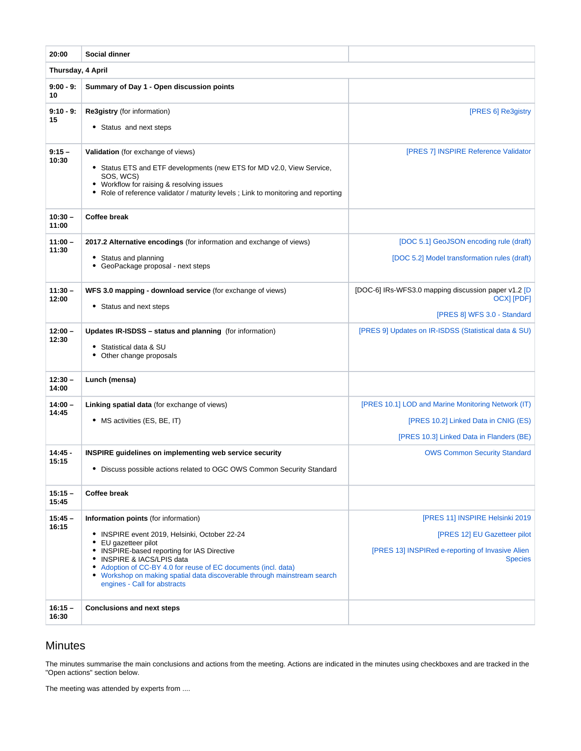| 20:00              | <b>Social dinner</b>                                                                                                                                                                                                                                        |                                                                    |  |
|--------------------|-------------------------------------------------------------------------------------------------------------------------------------------------------------------------------------------------------------------------------------------------------------|--------------------------------------------------------------------|--|
| Thursday, 4 April  |                                                                                                                                                                                                                                                             |                                                                    |  |
| $9:00 - 9:$<br>10  | Summary of Day 1 - Open discussion points                                                                                                                                                                                                                   |                                                                    |  |
| $9:10 - 9:$<br>15  | Re3gistry (for information)<br>• Status and next steps                                                                                                                                                                                                      | [PRES 6] Re3gistry                                                 |  |
| $9:15 -$<br>10:30  | Validation (for exchange of views)<br>• Status ETS and ETF developments (new ETS for MD v2.0, View Service,<br>SOS, WCS)<br>• Workflow for raising & resolving issues<br>• Role of reference validator / maturity levels ; Link to monitoring and reporting | [PRES 7] INSPIRE Reference Validator                               |  |
| $10:30 -$<br>11:00 | <b>Coffee break</b>                                                                                                                                                                                                                                         |                                                                    |  |
| $11:00 -$<br>11:30 | 2017.2 Alternative encodings (for information and exchange of views)                                                                                                                                                                                        | [DOC 5.1] GeoJSON encoding rule (draft)                            |  |
|                    | • Status and planning<br>• GeoPackage proposal - next steps                                                                                                                                                                                                 | [DOC 5.2] Model transformation rules (draft)                       |  |
| $11:30 -$<br>12:00 | WFS 3.0 mapping - download service (for exchange of views)                                                                                                                                                                                                  | [DOC-6] IRs-WFS3.0 mapping discussion paper v1.2 [D<br>OCXI [PDF]  |  |
|                    | • Status and next steps                                                                                                                                                                                                                                     | [PRES 8] WFS 3.0 - Standard                                        |  |
| $12:00 -$<br>12:30 | Updates IR-ISDSS - status and planning (for information)<br>• Statistical data & SU<br>• Other change proposals                                                                                                                                             | [PRES 9] Updates on IR-ISDSS (Statistical data & SU)               |  |
| $12:30 -$<br>14:00 | Lunch (mensa)                                                                                                                                                                                                                                               |                                                                    |  |
| $14:00 -$<br>14:45 | Linking spatial data (for exchange of views)                                                                                                                                                                                                                | [PRES 10.1] LOD and Marine Monitoring Network (IT)                 |  |
|                    | • MS activities (ES, BE, IT)                                                                                                                                                                                                                                | [PRES 10.2] Linked Data in CNIG (ES)                               |  |
|                    |                                                                                                                                                                                                                                                             | [PRES 10.3] Linked Data in Flanders (BE)                           |  |
| 14:45 -<br>15:15   | <b>INSPIRE</b> guidelines on implementing web service security                                                                                                                                                                                              | <b>OWS Common Security Standard</b>                                |  |
|                    | • Discuss possible actions related to OGC OWS Common Security Standard                                                                                                                                                                                      |                                                                    |  |
| $15:15 -$<br>15:45 | <b>Coffee break</b>                                                                                                                                                                                                                                         |                                                                    |  |
| $15:45 -$<br>16:15 | Information points (for information)                                                                                                                                                                                                                        | [PRES 11] INSPIRE Helsinki 2019                                    |  |
|                    | • INSPIRE event 2019, Helsinki, October 22-24<br>• EU gazetteer pilot                                                                                                                                                                                       | [PRES 12] EU Gazetteer pilot                                       |  |
|                    | • INSPIRE-based reporting for IAS Directive<br>• INSPIRE & IACS/LPIS data<br>• Adoption of CC-BY 4.0 for reuse of EC documents (incl. data)<br>• Workshop on making spatial data discoverable through mainstream search<br>engines - Call for abstracts     | [PRES 13] INSPIRed e-reporting of Invasive Alien<br><b>Species</b> |  |
| $16:15 -$<br>16:30 | <b>Conclusions and next steps</b>                                                                                                                                                                                                                           |                                                                    |  |

### <span id="page-1-0"></span>Minutes

The minutes summarise the main conclusions and actions from the meeting. Actions are indicated in the minutes using checkboxes and are tracked in the "Open actions" section below.

The meeting was attended by experts from ....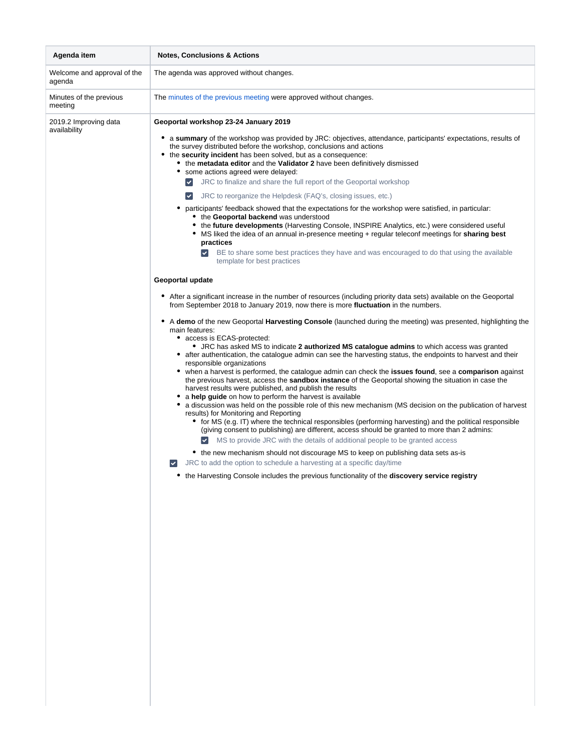| Agenda item                           |
|---------------------------------------|
| Welcome and approval of the<br>agenda |
| Minutes of the previous<br>meeting    |
| 2019.2 Improving data<br>availability |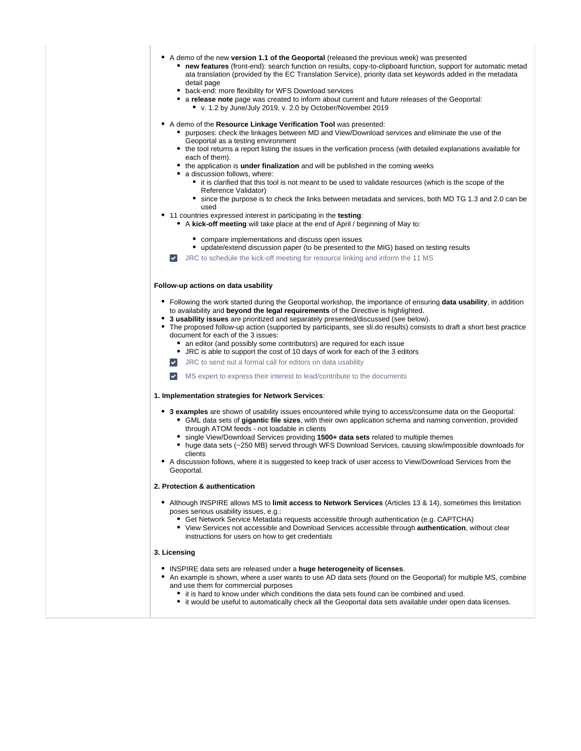- A demo of the new **version 1.1 of the Geoportal** (released the previous week) was presented
	- **new features** (front-end): search function on results, copy-to-clipboard function, support for automatic metad ata translation (provided by the EC Translation Service), priority data set keywords added in the metadata detail page
	- back-end: more flexibility for WFS Download services
	- a **release note** page was created to inform about current and future releases of the Geoportal:
		- v. 1.2 by June/July 2019, v. 2.0 by October/November 2019
- A demo of the **Resource Linkage Verification Tool** was presented:
	- purposes: check the linkages between MD and View/Download services and eliminate the use of the Geoportal as a testing environment
	- the tool returns a report listing the issues in the verfication process (with detailed explanations available for each of them).
	- the application is **under finalization** and will be published in the coming weeks
	- a discussion follows, where:
		- it is clarified that this tool is not meant to be used to validate resources (which is the scope of the Reference Validator)
		- since the purpose is to check the links between metadata and services, both MD TG 1.3 and 2.0 can be used
- 11 countries expressed interest in participating in the **testing**:
	- A **kick-off meeting** will take place at the end of April / beginning of May to:
		- compare implementations and discuss open issues
		- update/extend discussion paper (to be presented to the MIG) based on testing results
	- JRC to schedule the kick-off meeting for resource linking and inform the 11 MS

#### **Follow-up actions on data usability**

- Following the work started during the Geoportal workshop, the importance of ensuring **data usability**, in addition to availability and **beyond the legal requirements** of the Directive is highlighted.
- **3 usability issues** are prioritized and separately presented/discussed (see below).
- The proposed follow-up action (supported by participants, see sli.do results) consists to draft a short best practice document for each of the 3 issues:
	- an editor (and possibly some contributors) are required for each issue
	- JRC is able to support the cost of 10 days of work for each of the 3 editors
	- JRC to send out a formal call for editors on data usability
	- MS expert to express their interest to lead/contribute to the documents

#### **1. Implementation strategies for Network Services**:

- **3 examples** are shown of usability issues encountered while trying to access/consume data on the Geoportal: GML data sets of **gigantic file sizes**, with their own application schema and naming convention, provided through ATOM feeds - not loadable in clients
	- single View/Download Services providing **1500+ data sets** related to multiple themes
	- huge data sets (~250 MB) served through WFS Download Services, causing slow/impossible downloads for clients
- A discussion follows, where it is suggested to keep track of user access to View/Download Services from the Geoportal.

#### **2. Protection & authentication**

- Although INSPIRE allows MS to **limit access to Network Services** (Articles 13 & 14), sometimes this limitation poses serious usability issues, e.g.:
	- Get Network Service Metadata requests accessible through authentication (e.g. CAPTCHA)
	- View Services not accessible and Download Services accessible through **authentication**, without clear instructions for users on how to get credentials

#### **3. Licensing**

- INSPIRE data sets are released under a **huge heterogeneity of licenses**.
- An example is shown, where a user wants to use AD data sets (found on the Geoportal) for multiple MS, combine and use them for commercial purposes
	- it is hard to know under which conditions the data sets found can be combined and used.
	- it would be useful to automatically check all the Geoportal data sets available under open data licenses.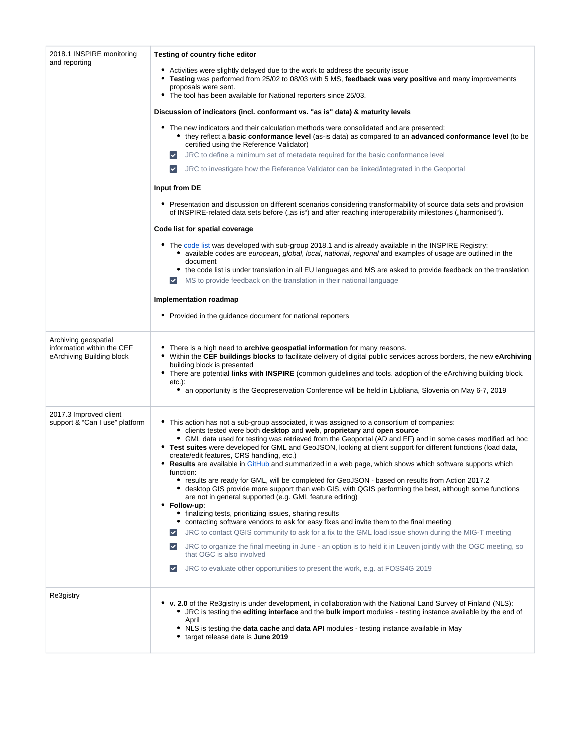| 2018.1 INSPIRE monitoring<br>and reporting                                      | Testing of country fiche editor                                                                                                                                                                                                                                                                                                                                                                                                                                                                                                                                                                                                                                                                                                                                                                                                                                                                                                                                                                                                                                                                                                                                                                                                                                                                                                                                                                                           |  |  |
|---------------------------------------------------------------------------------|---------------------------------------------------------------------------------------------------------------------------------------------------------------------------------------------------------------------------------------------------------------------------------------------------------------------------------------------------------------------------------------------------------------------------------------------------------------------------------------------------------------------------------------------------------------------------------------------------------------------------------------------------------------------------------------------------------------------------------------------------------------------------------------------------------------------------------------------------------------------------------------------------------------------------------------------------------------------------------------------------------------------------------------------------------------------------------------------------------------------------------------------------------------------------------------------------------------------------------------------------------------------------------------------------------------------------------------------------------------------------------------------------------------------------|--|--|
|                                                                                 | Activities were slightly delayed due to the work to address the security issue<br>Testing was performed from 25/02 to 08/03 with 5 MS, feedback was very positive and many improvements<br>٠<br>proposals were sent.<br>The tool has been available for National reporters since 25/03.<br>٠                                                                                                                                                                                                                                                                                                                                                                                                                                                                                                                                                                                                                                                                                                                                                                                                                                                                                                                                                                                                                                                                                                                              |  |  |
|                                                                                 | Discussion of indicators (incl. conformant vs. "as is" data) & maturity levels                                                                                                                                                                                                                                                                                                                                                                                                                                                                                                                                                                                                                                                                                                                                                                                                                                                                                                                                                                                                                                                                                                                                                                                                                                                                                                                                            |  |  |
|                                                                                 | • The new indicators and their calculation methods were consolidated and are presented:<br>• they reflect a basic conformance level (as-is data) as compared to an advanced conformance level (to be<br>certified using the Reference Validator)                                                                                                                                                                                                                                                                                                                                                                                                                                                                                                                                                                                                                                                                                                                                                                                                                                                                                                                                                                                                                                                                                                                                                                          |  |  |
|                                                                                 | V JRC to define a minimum set of metadata required for the basic conformance level                                                                                                                                                                                                                                                                                                                                                                                                                                                                                                                                                                                                                                                                                                                                                                                                                                                                                                                                                                                                                                                                                                                                                                                                                                                                                                                                        |  |  |
|                                                                                 | JRC to investigate how the Reference Validator can be linked/integrated in the Geoportal<br>$\blacktriangledown$                                                                                                                                                                                                                                                                                                                                                                                                                                                                                                                                                                                                                                                                                                                                                                                                                                                                                                                                                                                                                                                                                                                                                                                                                                                                                                          |  |  |
|                                                                                 | Input from DE                                                                                                                                                                                                                                                                                                                                                                                                                                                                                                                                                                                                                                                                                                                                                                                                                                                                                                                                                                                                                                                                                                                                                                                                                                                                                                                                                                                                             |  |  |
|                                                                                 | • Presentation and discussion on different scenarios considering transformability of source data sets and provision<br>of INSPIRE-related data sets before ("as is") and after reaching interoperability milestones ("harmonised").                                                                                                                                                                                                                                                                                                                                                                                                                                                                                                                                                                                                                                                                                                                                                                                                                                                                                                                                                                                                                                                                                                                                                                                       |  |  |
|                                                                                 | Code list for spatial coverage                                                                                                                                                                                                                                                                                                                                                                                                                                                                                                                                                                                                                                                                                                                                                                                                                                                                                                                                                                                                                                                                                                                                                                                                                                                                                                                                                                                            |  |  |
|                                                                                 | The code list was developed with sub-group 2018.1 and is already available in the INSPIRE Registry:<br>• available codes are <i>european, global, local, national, regional</i> and examples of usage are outlined in the<br>document                                                                                                                                                                                                                                                                                                                                                                                                                                                                                                                                                                                                                                                                                                                                                                                                                                                                                                                                                                                                                                                                                                                                                                                     |  |  |
|                                                                                 | • the code list is under translation in all EU languages and MS are asked to provide feedback on the translation<br>MS to provide feedback on the translation in their national language                                                                                                                                                                                                                                                                                                                                                                                                                                                                                                                                                                                                                                                                                                                                                                                                                                                                                                                                                                                                                                                                                                                                                                                                                                  |  |  |
|                                                                                 | Implementation roadmap                                                                                                                                                                                                                                                                                                                                                                                                                                                                                                                                                                                                                                                                                                                                                                                                                                                                                                                                                                                                                                                                                                                                                                                                                                                                                                                                                                                                    |  |  |
|                                                                                 | • Provided in the guidance document for national reporters                                                                                                                                                                                                                                                                                                                                                                                                                                                                                                                                                                                                                                                                                                                                                                                                                                                                                                                                                                                                                                                                                                                                                                                                                                                                                                                                                                |  |  |
| Archiving geospatial<br>information within the CEF<br>eArchiving Building block | There is a high need to archive geospatial information for many reasons.<br>Within the CEF buildings blocks to facilitate delivery of digital public services across borders, the new eArchiving<br>building block is presented<br>There are potential links with INSPIRE (common guidelines and tools, adoption of the eArchiving building block,<br>$etc.$ ):<br>• an opportunity is the Geopreservation Conference will be held in Ljubliana, Slovenia on May 6-7, 2019                                                                                                                                                                                                                                                                                                                                                                                                                                                                                                                                                                                                                                                                                                                                                                                                                                                                                                                                                |  |  |
| 2017.3 Improved client<br>support & "Can I use" platform                        | • This action has not a sub-group associated, it was assigned to a consortium of companies:<br>• clients tested were both desktop and web, proprietary and open source<br>• GML data used for testing was retrieved from the Geoportal (AD and EF) and in some cases modified ad hoc<br>• Test suites were developed for GML and GeoJSON, looking at client support for different functions (load data,<br>create/edit features, CRS handling, etc.)<br>Results are available in GitHub and summarized in a web page, which shows which software supports which<br>function:<br>• results are ready for GML, will be completed for GeoJSON - based on results from Action 2017.2<br>• desktop GIS provide more support than web GIS, with QGIS performing the best, although some functions<br>are not in general supported (e.g. GML feature editing)<br>• Follow-up:<br>• finalizing tests, prioritizing issues, sharing results<br>contacting software vendors to ask for easy fixes and invite them to the final meeting<br>٠<br>JRC to contact QGIS community to ask for a fix to the GML load issue shown during the MIG-T meeting<br>$\blacktriangledown$<br>► JRC to organize the final meeting in June - an option is to held it in Leuven jointly with the OGC meeting, so<br>that OGC is also involved<br>JRC to evaluate other opportunities to present the work, e.g. at FOSS4G 2019<br>$\blacktriangledown$ |  |  |
| Re3gistry                                                                       | • v. 2.0 of the Re3gistry is under development, in collaboration with the National Land Survey of Finland (NLS):<br>• JRC is testing the <b>editing interface</b> and the <b>bulk import</b> modules - testing instance available by the end of<br>April<br>• NLS is testing the <b>data cache</b> and <b>data API</b> modules - testing instance available in May<br>• target release date is June 2019                                                                                                                                                                                                                                                                                                                                                                                                                                                                                                                                                                                                                                                                                                                                                                                                                                                                                                                                                                                                                  |  |  |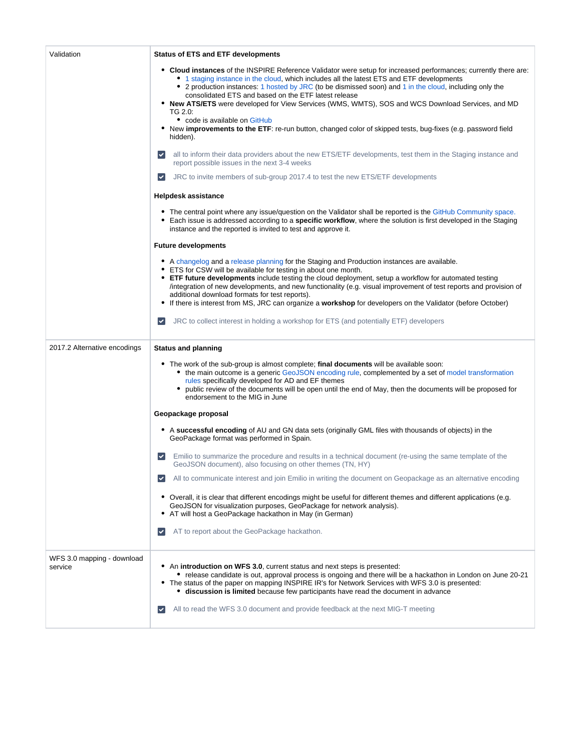| Validation                            | <b>Status of ETS and ETF developments</b>                                                                                                                                                                                                                                                                                                                                                                                                                                                                                                                                                                                                                     |  |  |
|---------------------------------------|---------------------------------------------------------------------------------------------------------------------------------------------------------------------------------------------------------------------------------------------------------------------------------------------------------------------------------------------------------------------------------------------------------------------------------------------------------------------------------------------------------------------------------------------------------------------------------------------------------------------------------------------------------------|--|--|
|                                       | • Cloud instances of the INSPIRE Reference Validator were setup for increased performances; currently there are:<br>• 1 staging instance in the cloud, which includes all the latest ETS and ETF developments<br>• 2 production instances: 1 hosted by JRC (to be dismissed soon) and 1 in the cloud, including only the<br>consolidated ETS and based on the ETF latest release<br>• New ATS/ETS were developed for View Services (WMS, WMTS), SOS and WCS Download Services, and MD<br>TG 2.0:<br>• code is available on GitHub<br>• New improvements to the ETF: re-run button, changed color of skipped tests, bug-fixes (e.g. password field<br>hidden). |  |  |
|                                       | $\blacktriangledown$<br>all to inform their data providers about the new ETS/ETF developments, test them in the Staging instance and<br>report possible issues in the next 3-4 weeks                                                                                                                                                                                                                                                                                                                                                                                                                                                                          |  |  |
|                                       | JRC to invite members of sub-group 2017.4 to test the new ETS/ETF developments<br>$\blacktriangledown$                                                                                                                                                                                                                                                                                                                                                                                                                                                                                                                                                        |  |  |
|                                       | <b>Helpdesk assistance</b>                                                                                                                                                                                                                                                                                                                                                                                                                                                                                                                                                                                                                                    |  |  |
|                                       | • The central point where any issue/question on the Validator shall be reported is the GitHub Community space.<br>• Each issue is addressed according to a specific workflow, where the solution is first developed in the Staging<br>instance and the reported is invited to test and approve it.                                                                                                                                                                                                                                                                                                                                                            |  |  |
|                                       | <b>Future developments</b>                                                                                                                                                                                                                                                                                                                                                                                                                                                                                                                                                                                                                                    |  |  |
|                                       | • A changelog and a release planning for the Staging and Production instances are available.<br>• ETS for CSW will be available for testing in about one month.<br>• ETF future developments include testing the cloud deployment, setup a workflow for automated testing<br>/integration of new developments, and new functionality (e.g. visual improvement of test reports and provision of<br>additional download formats for test reports).<br>• If there is interest from MS, JRC can organize a workshop for developers on the Validator (before October)                                                                                              |  |  |
|                                       | JRC to collect interest in holding a workshop for ETS (and potentially ETF) developers<br>$\blacktriangledown$                                                                                                                                                                                                                                                                                                                                                                                                                                                                                                                                                |  |  |
| 2017.2 Alternative encodings          | <b>Status and planning</b>                                                                                                                                                                                                                                                                                                                                                                                                                                                                                                                                                                                                                                    |  |  |
|                                       | • The work of the sub-group is almost complete; final documents will be available soon:<br>• the main outcome is a generic GeoJSON encoding rule, complemented by a set of model transformation<br>rules specifically developed for AD and EF themes<br>• public review of the documents will be open until the end of May, then the documents will be proposed for<br>endorsement to the MIG in June                                                                                                                                                                                                                                                         |  |  |
|                                       | Geopackage proposal                                                                                                                                                                                                                                                                                                                                                                                                                                                                                                                                                                                                                                           |  |  |
|                                       | • A successful encoding of AU and GN data sets (originally GML files with thousands of objects) in the<br>GeoPackage format was performed in Spain.                                                                                                                                                                                                                                                                                                                                                                                                                                                                                                           |  |  |
|                                       | Emilio to summarize the procedure and results in a technical document (re-using the same template of the<br>$\checkmark$<br>GeoJSON document), also focusing on other themes (TN, HY)                                                                                                                                                                                                                                                                                                                                                                                                                                                                         |  |  |
|                                       | All to communicate interest and join Emilio in writing the document on Geopackage as an alternative encoding<br>$\blacktriangledown$                                                                                                                                                                                                                                                                                                                                                                                                                                                                                                                          |  |  |
|                                       | Overall, it is clear that different encodings might be useful for different themes and different applications (e.g.<br>GeoJSON for visualization purposes, GeoPackage for network analysis).<br>AT will host a GeoPackage hackathon in May (in German)                                                                                                                                                                                                                                                                                                                                                                                                        |  |  |
|                                       | AT to report about the GeoPackage hackathon.<br>$\blacktriangledown$                                                                                                                                                                                                                                                                                                                                                                                                                                                                                                                                                                                          |  |  |
| WFS 3.0 mapping - download<br>service | An introduction on WFS 3.0, current status and next steps is presented:<br>• release candidate is out, approval process is ongoing and there will be a hackathon in London on June 20-21<br>• The status of the paper on mapping INSPIRE IR's for Network Services with WFS 3.0 is presented:<br>• discussion is limited because few participants have read the document in advance<br>All to read the WFS 3.0 document and provide feedback at the next MIG-T meeting<br>$\checkmark$                                                                                                                                                                        |  |  |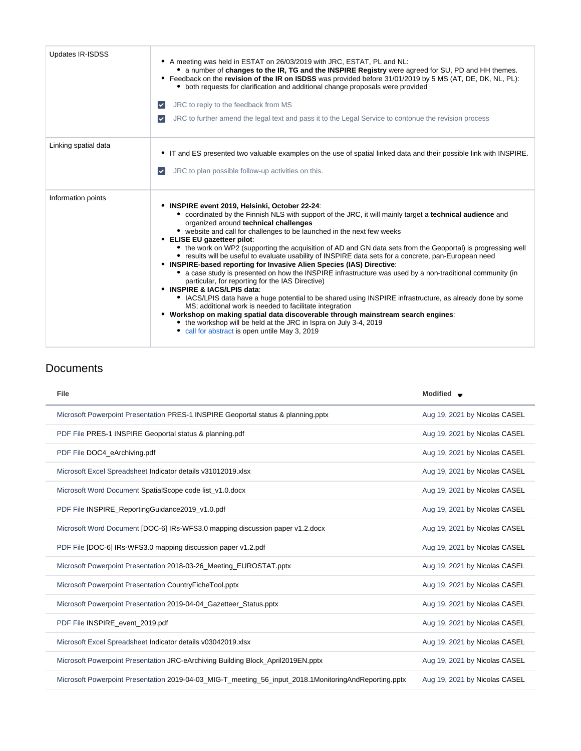| Updates IR-ISDSS     | • A meeting was held in ESTAT on 26/03/2019 with JRC, ESTAT, PL and NL:<br>• a number of changes to the IR, TG and the INSPIRE Registry were agreed for SU, PD and HH themes.<br>• Feedback on the revision of the IR on ISDSS was provided before 31/01/2019 by 5 MS (AT, DE, DK, NL, PL):<br>• both requests for clarification and additional change proposals were provided<br>JRC to reply to the feedback from MS<br>$\vert\downarrow\vert$<br>JRC to further amend the legal text and pass it to the Legal Service to contonue the revision process<br>$\blacktriangledown$                                                                                                                                                                                                                                                                                                                                                                                                                                                                                                                                                                                                                  |
|----------------------|----------------------------------------------------------------------------------------------------------------------------------------------------------------------------------------------------------------------------------------------------------------------------------------------------------------------------------------------------------------------------------------------------------------------------------------------------------------------------------------------------------------------------------------------------------------------------------------------------------------------------------------------------------------------------------------------------------------------------------------------------------------------------------------------------------------------------------------------------------------------------------------------------------------------------------------------------------------------------------------------------------------------------------------------------------------------------------------------------------------------------------------------------------------------------------------------------|
| Linking spatial data | • IT and ES presented two valuable examples on the use of spatial linked data and their possible link with INSPIRE.<br>JRC to plan possible follow-up activities on this.<br>$\vert\downarrow\vert$                                                                                                                                                                                                                                                                                                                                                                                                                                                                                                                                                                                                                                                                                                                                                                                                                                                                                                                                                                                                |
| Information points   | • INSPIRE event 2019, Helsinki, October 22-24:<br>• coordinated by the Finnish NLS with support of the JRC, it will mainly target a technical audience and<br>organized around technical challenges<br>• website and call for challenges to be launched in the next few weeks<br>• ELISE EU gazetteer pilot:<br>• the work on WP2 (supporting the acquisition of AD and GN data sets from the Geoportal) is progressing well<br>• results will be useful to evaluate usability of INSPIRE data sets for a concrete, pan-European need<br>• INSPIRE-based reporting for Invasive Alien Species (IAS) Directive:<br>• a case study is presented on how the INSPIRE infrastructure was used by a non-traditional community (in<br>particular, for reporting for the IAS Directive)<br>• INSPIRE & IACS/LPIS data:<br>• IACS/LPIS data have a huge potential to be shared using INSPIRE infrastructure, as already done by some<br>MS; additional work is needed to facilitate integration<br>• Workshop on making spatial data discoverable through mainstream search engines:<br>• the workshop will be held at the JRC in Ispra on July 3-4, 2019<br>• call for abstract is open untile May 3, 2019 |

### <span id="page-6-0"></span>**Documents**

| <b>File</b>                                                                                           | Modified -                    |
|-------------------------------------------------------------------------------------------------------|-------------------------------|
| Microsoft Powerpoint Presentation PRES-1 INSPIRE Geoportal status & planning.pptx                     | Aug 19, 2021 by Nicolas CASEL |
| PDF File PRES-1 INSPIRE Geoportal status & planning.pdf                                               | Aug 19, 2021 by Nicolas CASEL |
| PDF File DOC4_eArchiving.pdf                                                                          | Aug 19, 2021 by Nicolas CASEL |
| Microsoft Excel Spreadsheet Indicator details v31012019.xlsx                                          | Aug 19, 2021 by Nicolas CASEL |
| Microsoft Word Document SpatialScope code list_v1.0.docx                                              | Aug 19, 2021 by Nicolas CASEL |
| PDF File INSPIRE_ReportingGuidance2019_v1.0.pdf                                                       | Aug 19, 2021 by Nicolas CASEL |
| Microsoft Word Document [DOC-6] IRs-WFS3.0 mapping discussion paper v1.2.docx                         | Aug 19, 2021 by Nicolas CASEL |
| PDF File [DOC-6] IRs-WFS3.0 mapping discussion paper v1.2.pdf                                         | Aug 19, 2021 by Nicolas CASEL |
| Microsoft Powerpoint Presentation 2018-03-26_Meeting_EUROSTAT.pptx                                    | Aug 19, 2021 by Nicolas CASEL |
| Microsoft Powerpoint Presentation CountryFicheTool.pptx                                               | Aug 19, 2021 by Nicolas CASEL |
| Microsoft Powerpoint Presentation 2019-04-04 Gazetteer Status.pptx                                    | Aug 19, 2021 by Nicolas CASEL |
| PDF File INSPIRE_event_2019.pdf                                                                       | Aug 19, 2021 by Nicolas CASEL |
| Microsoft Excel Spreadsheet Indicator details v03042019.xlsx                                          | Aug 19, 2021 by Nicolas CASEL |
| Microsoft Powerpoint Presentation JRC-eArchiving Building Block_April2019EN.pptx                      | Aug 19, 2021 by Nicolas CASEL |
| Microsoft Powerpoint Presentation 2019-04-03_MIG-T_meeting_56_input_2018.1MonitoringAndReporting.pptx | Aug 19, 2021 by Nicolas CASEL |